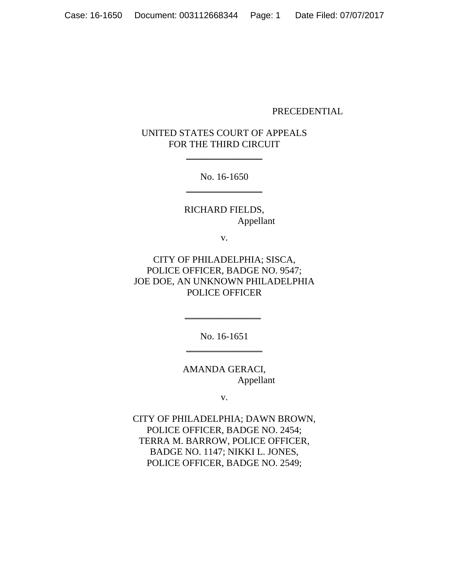### PRECEDENTIAL

# UNITED STATES COURT OF APPEALS FOR THE THIRD CIRCUIT

 $\frac{1}{2}$ 

No. 16-1650  $\frac{1}{2}$ 

RICHARD FIELDS, Appellant

v.

CITY OF PHILADELPHIA; SISCA, POLICE OFFICER, BADGE NO. 9547; JOE DOE, AN UNKNOWN PHILADELPHIA POLICE OFFICER

> No. 16-1651 \_\_\_\_\_\_\_\_\_\_\_\_\_\_\_\_

\_\_\_\_\_\_\_\_\_\_\_\_\_\_\_\_

AMANDA GERACI, Appellant

v.

CITY OF PHILADELPHIA; DAWN BROWN, POLICE OFFICER, BADGE NO. 2454; TERRA M. BARROW, POLICE OFFICER, BADGE NO. 1147; NIKKI L. JONES, POLICE OFFICER, BADGE NO. 2549;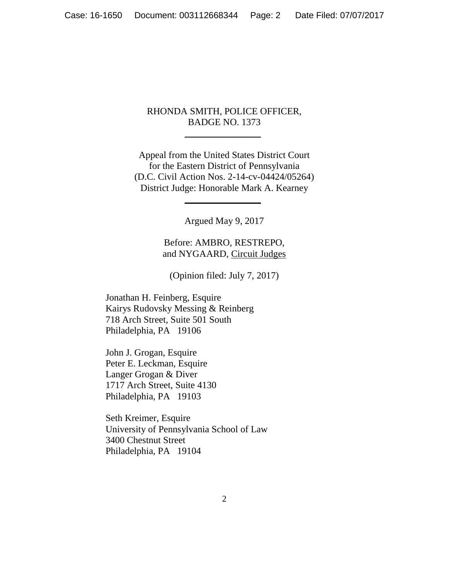## RHONDA SMITH, POLICE OFFICER, BADGE NO. 1373

\_\_\_\_\_\_\_\_\_\_\_\_\_\_\_\_

Appeal from the United States District Court for the Eastern District of Pennsylvania (D.C. Civil Action Nos. 2-14-cv-04424/05264) District Judge: Honorable Mark A. Kearney

 $\frac{1}{2}$ 

Argued May 9, 2017

Before: AMBRO, RESTREPO, and NYGAARD, Circuit Judges

(Opinion filed: July 7, 2017)

Jonathan H. Feinberg, Esquire Kairys Rudovsky Messing & Reinberg 718 Arch Street, Suite 501 South Philadelphia, PA 19106

John J. Grogan, Esquire Peter E. Leckman, Esquire Langer Grogan & Diver 1717 Arch Street, Suite 4130 Philadelphia, PA 19103

Seth Kreimer, Esquire University of Pennsylvania School of Law 3400 Chestnut Street Philadelphia, PA 19104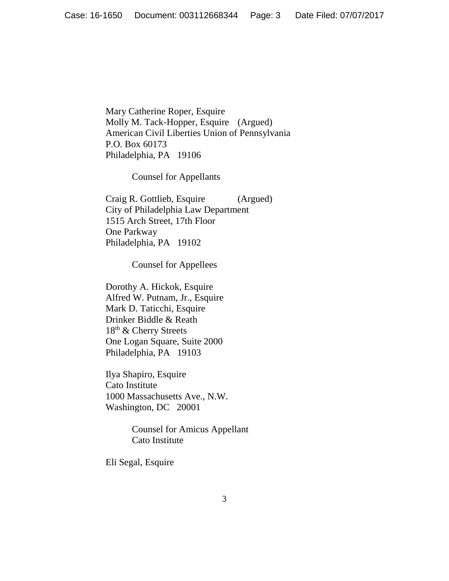Mary Catherine Roper, Esquire Molly M. Tack-Hopper, Esquire (Argued) American Civil Liberties Union of Pennsylvania P.O. Box 60173 Philadelphia, PA 19106

Counsel for Appellants

Craig R. Gottlieb, Esquire (Argued) City of Philadelphia Law Department 1515 Arch Street, 17th Floor One Parkway Philadelphia, PA 19102

Counsel for Appellees

Dorothy A. Hickok, Esquire Alfred W. Putnam, Jr., Esquire Mark D. Taticchi, Esquire Drinker Biddle & Reath 18th & Cherry Streets One Logan Square, Suite 2000 Philadelphia, PA 19103

Ilya Shapiro, Esquire Cato Institute 1000 Massachusetts Ave., N.W. Washington, DC 20001

> Counsel for Amicus Appellant Cato Institute

Eli Segal, Esquire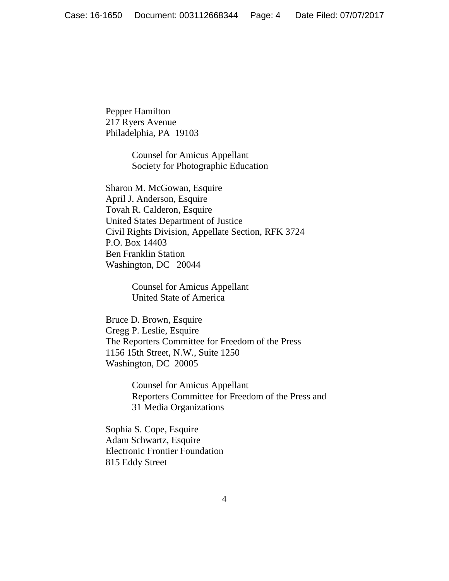Pepper Hamilton 217 Ryers Avenue Philadelphia, PA 19103

> Counsel for Amicus Appellant Society for Photographic Education

Sharon M. McGowan, Esquire April J. Anderson, Esquire Tovah R. Calderon, Esquire United States Department of Justice Civil Rights Division, Appellate Section, RFK 3724 P.O. Box 14403 Ben Franklin Station Washington, DC 20044

> Counsel for Amicus Appellant United State of America

Bruce D. Brown, Esquire Gregg P. Leslie, Esquire The Reporters Committee for Freedom of the Press 1156 15th Street, N.W., Suite 1250 Washington, DC 20005

> Counsel for Amicus Appellant Reporters Committee for Freedom of the Press and 31 Media Organizations

Sophia S. Cope, Esquire Adam Schwartz, Esquire Electronic Frontier Foundation 815 Eddy Street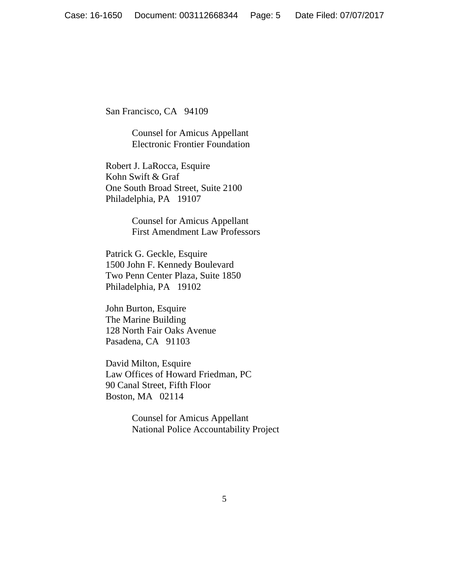San Francisco, CA 94109

Counsel for Amicus Appellant Electronic Frontier Foundation

Robert J. LaRocca, Esquire Kohn Swift & Graf One South Broad Street, Suite 2100 Philadelphia, PA 19107

> Counsel for Amicus Appellant First Amendment Law Professors

Patrick G. Geckle, Esquire 1500 John F. Kennedy Boulevard Two Penn Center Plaza, Suite 1850 Philadelphia, PA 19102

John Burton, Esquire The Marine Building 128 North Fair Oaks Avenue Pasadena, CA 91103

David Milton, Esquire Law Offices of Howard Friedman, PC 90 Canal Street, Fifth Floor Boston, MA 02114

> Counsel for Amicus Appellant National Police Accountability Project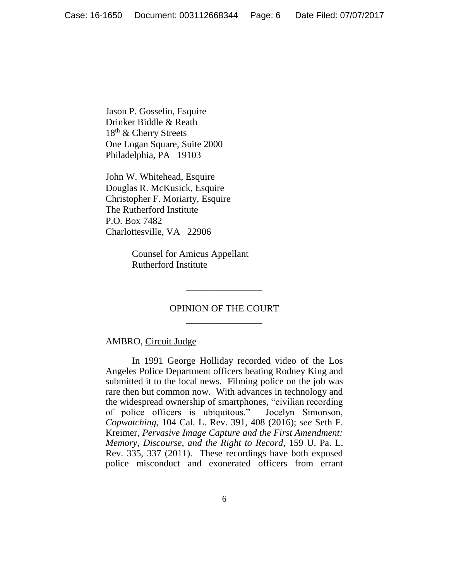Jason P. Gosselin, Esquire Drinker Biddle & Reath 18th & Cherry Streets One Logan Square, Suite 2000 Philadelphia, PA 19103

John W. Whitehead, Esquire Douglas R. McKusick, Esquire Christopher F. Moriarty, Esquire The Rutherford Institute P.O. Box 7482 Charlottesville, VA 22906

> Counsel for Amicus Appellant Rutherford Institute

## OPINION OF THE COURT \_\_\_\_\_\_\_\_\_\_\_\_\_\_\_\_

\_\_\_\_\_\_\_\_\_\_\_\_\_\_\_\_

## AMBRO, Circuit Judge

In 1991 George Holliday recorded video of the Los Angeles Police Department officers beating Rodney King and submitted it to the local news. Filming police on the job was rare then but common now. With advances in technology and the widespread ownership of smartphones, "civilian recording of police officers is ubiquitous." Jocelyn Simonson, *Copwatching*, 104 Cal. L. Rev. 391, 408 (2016); *see* Seth F. Kreimer, *Pervasive Image Capture and the First Amendment: Memory, Discourse, and the Right to Record*, 159 U. Pa. L. Rev. 335, 337 (2011). These recordings have both exposed police misconduct and exonerated officers from errant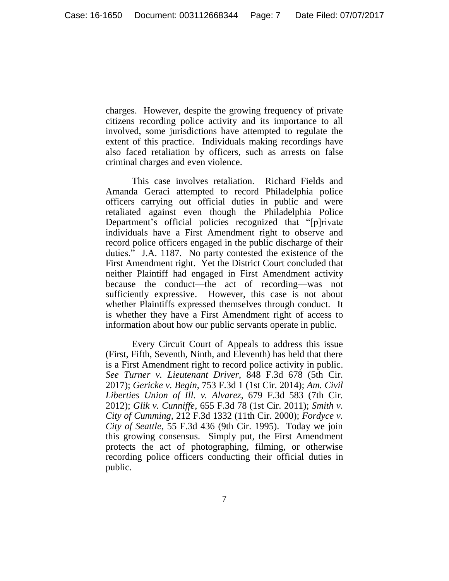charges. However, despite the growing frequency of private citizens recording police activity and its importance to all involved, some jurisdictions have attempted to regulate the extent of this practice. Individuals making recordings have also faced retaliation by officers, such as arrests on false criminal charges and even violence.

This case involves retaliation. Richard Fields and Amanda Geraci attempted to record Philadelphia police officers carrying out official duties in public and were retaliated against even though the Philadelphia Police Department's official policies recognized that "[p]rivate individuals have a First Amendment right to observe and record police officers engaged in the public discharge of their duties." J.A. 1187. No party contested the existence of the First Amendment right. Yet the District Court concluded that neither Plaintiff had engaged in First Amendment activity because the conduct—the act of recording—was not sufficiently expressive. However, this case is not about whether Plaintiffs expressed themselves through conduct. It is whether they have a First Amendment right of access to information about how our public servants operate in public.

Every Circuit Court of Appeals to address this issue (First, Fifth, Seventh, Ninth, and Eleventh) has held that there is a First Amendment right to record police activity in public. *See Turner v. Lieutenant Driver*, 848 F.3d 678 (5th Cir. 2017); *Gericke v. Begin*, 753 F.3d 1 (1st Cir. 2014); *Am. Civil Liberties Union of Ill. v. Alvarez*, 679 F.3d 583 (7th Cir. 2012); *Glik v. Cunniffe,* 655 F.3d 78 (1st Cir. 2011); *Smith v. City of Cumming*, 212 F.3d 1332 (11th Cir. 2000); *Fordyce v. City of Seattle*, 55 F.3d 436 (9th Cir. 1995). Today we join this growing consensus. Simply put, the First Amendment protects the act of photographing, filming, or otherwise recording police officers conducting their official duties in public.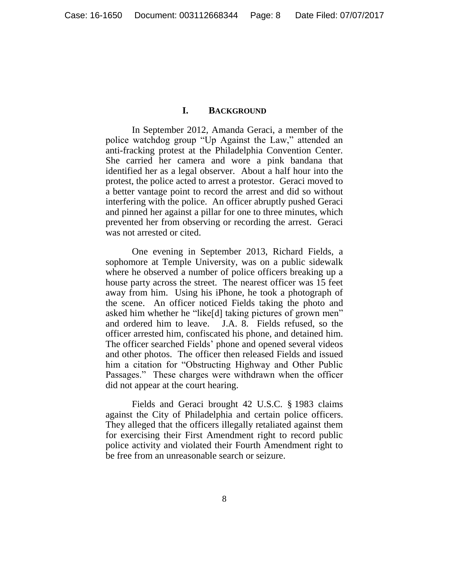### **I. BACKGROUND**

In September 2012, Amanda Geraci, a member of the police watchdog group "Up Against the Law," attended an anti-fracking protest at the Philadelphia Convention Center. She carried her camera and wore a pink bandana that identified her as a legal observer. About a half hour into the protest, the police acted to arrest a protestor. Geraci moved to a better vantage point to record the arrest and did so without interfering with the police. An officer abruptly pushed Geraci and pinned her against a pillar for one to three minutes, which prevented her from observing or recording the arrest. Geraci was not arrested or cited.

One evening in September 2013, Richard Fields, a sophomore at Temple University, was on a public sidewalk where he observed a number of police officers breaking up a house party across the street. The nearest officer was 15 feet away from him. Using his iPhone, he took a photograph of the scene. An officer noticed Fields taking the photo and asked him whether he "like[d] taking pictures of grown men" and ordered him to leave. J.A. 8. Fields refused, so the officer arrested him, confiscated his phone, and detained him. The officer searched Fields' phone and opened several videos and other photos. The officer then released Fields and issued him a citation for "Obstructing Highway and Other Public Passages." These charges were withdrawn when the officer did not appear at the court hearing.

Fields and Geraci brought 42 U.S.C. § 1983 claims against the City of Philadelphia and certain police officers. They alleged that the officers illegally retaliated against them for exercising their First Amendment right to record public police activity and violated their Fourth Amendment right to be free from an unreasonable search or seizure.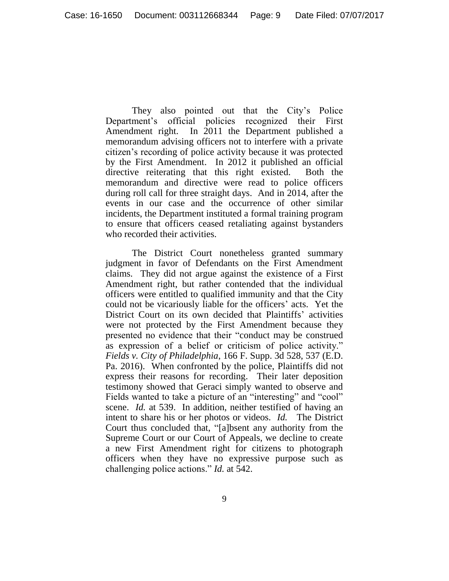They also pointed out that the City's Police Department's official policies recognized their First Amendment right. In 2011 the Department published a memorandum advising officers not to interfere with a private citizen's recording of police activity because it was protected by the First Amendment. In 2012 it published an official directive reiterating that this right existed. Both the memorandum and directive were read to police officers during roll call for three straight days. And in 2014, after the events in our case and the occurrence of other similar incidents, the Department instituted a formal training program to ensure that officers ceased retaliating against bystanders who recorded their activities.

The District Court nonetheless granted summary judgment in favor of Defendants on the First Amendment claims. They did not argue against the existence of a First Amendment right, but rather contended that the individual officers were entitled to qualified immunity and that the City could not be vicariously liable for the officers' acts. Yet the District Court on its own decided that Plaintiffs' activities were not protected by the First Amendment because they presented no evidence that their "conduct may be construed as expression of a belief or criticism of police activity." *Fields v. City of Philadelphia*, 166 F. Supp. 3d 528, 537 (E.D. Pa. 2016). When confronted by the police, Plaintiffs did not express their reasons for recording. Their later deposition testimony showed that Geraci simply wanted to observe and Fields wanted to take a picture of an "interesting" and "cool" scene. *Id.* at 539. In addition, neither testified of having an intent to share his or her photos or videos. *Id.* The District Court thus concluded that, "[a]bsent any authority from the Supreme Court or our Court of Appeals, we decline to create a new First Amendment right for citizens to photograph officers when they have no expressive purpose such as challenging police actions." *Id.* at 542.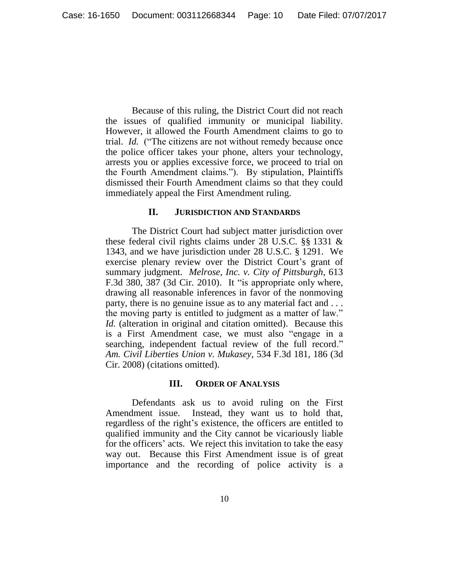Because of this ruling, the District Court did not reach the issues of qualified immunity or municipal liability. However, it allowed the Fourth Amendment claims to go to trial. *Id.* ("The citizens are not without remedy because once the police officer takes your phone, alters your technology, arrests you or applies excessive force, we proceed to trial on the Fourth Amendment claims."). By stipulation, Plaintiffs dismissed their Fourth Amendment claims so that they could immediately appeal the First Amendment ruling.

## **II. JURISDICTION AND STANDARDS**

The District Court had subject matter jurisdiction over these federal civil rights claims under 28 U.S.C. §§ 1331 & 1343, and we have jurisdiction under 28 U.S.C. § 1291. We exercise plenary review over the District Court's grant of summary judgment. *Melrose, Inc. v. City of Pittsburgh*, 613 F.3d 380, 387 (3d Cir. 2010). It "is appropriate only where, drawing all reasonable inferences in favor of the nonmoving party, there is no genuine issue as to any material fact and . . . the moving party is entitled to judgment as a matter of law." *Id.* (alteration in original and citation omitted). Because this is a First Amendment case, we must also "engage in a searching, independent factual review of the full record." *Am. Civil Liberties Union v. Mukasey*, 534 F.3d 181, 186 (3d Cir. 2008) (citations omitted).

## **III. ORDER OF ANALYSIS**

Defendants ask us to avoid ruling on the First Amendment issue. Instead, they want us to hold that, regardless of the right's existence, the officers are entitled to qualified immunity and the City cannot be vicariously liable for the officers' acts. We reject this invitation to take the easy way out. Because this First Amendment issue is of great importance and the recording of police activity is a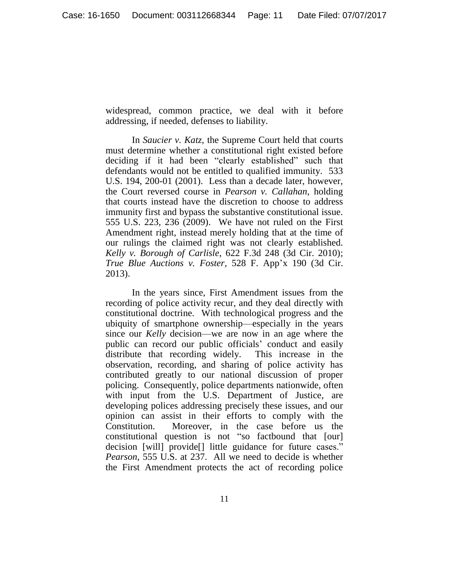widespread, common practice, we deal with it before addressing, if needed, defenses to liability.

In *Saucier v. Katz*, the Supreme Court held that courts must determine whether a constitutional right existed before deciding if it had been "clearly established" such that defendants would not be entitled to qualified immunity. 533 U.S. 194, 200-01 (2001). Less than a decade later, however, the Court reversed course in *Pearson v. Callahan*, holding that courts instead have the discretion to choose to address immunity first and bypass the substantive constitutional issue. 555 U.S. 223, 236 (2009). We have not ruled on the First Amendment right, instead merely holding that at the time of our rulings the claimed right was not clearly established. *Kelly v. Borough of Carlisle*, 622 F.3d 248 (3d Cir. 2010); *True Blue Auctions v. Foster*, 528 F. App'x 190 (3d Cir. 2013).

In the years since, First Amendment issues from the recording of police activity recur, and they deal directly with constitutional doctrine. With technological progress and the ubiquity of smartphone ownership—especially in the years since our *Kelly* decision—we are now in an age where the public can record our public officials' conduct and easily distribute that recording widely. This increase in the observation, recording, and sharing of police activity has contributed greatly to our national discussion of proper policing. Consequently, police departments nationwide, often with input from the U.S. Department of Justice, are developing polices addressing precisely these issues, and our opinion can assist in their efforts to comply with the Constitution. Moreover, in the case before us the constitutional question is not "so factbound that [our] decision [will] provide[] little guidance for future cases." *Pearson*, 555 U.S. at 237. All we need to decide is whether the First Amendment protects the act of recording police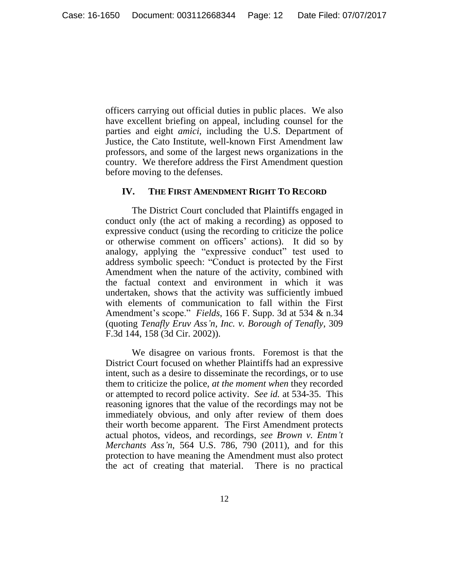officers carrying out official duties in public places. We also have excellent briefing on appeal, including counsel for the parties and eight *amici*, including the U.S. Department of Justice, the Cato Institute, well-known First Amendment law professors, and some of the largest news organizations in the country. We therefore address the First Amendment question before moving to the defenses.

#### **IV. THE FIRST AMENDMENT RIGHT TO RECORD**

The District Court concluded that Plaintiffs engaged in conduct only (the act of making a recording) as opposed to expressive conduct (using the recording to criticize the police or otherwise comment on officers' actions). It did so by analogy, applying the "expressive conduct" test used to address symbolic speech: "Conduct is protected by the First Amendment when the nature of the activity, combined with the factual context and environment in which it was undertaken, shows that the activity was sufficiently imbued with elements of communication to fall within the First Amendment's scope." *Fields*, 166 F. Supp. 3d at 534 & n.34 (quoting *Tenafly Eruv Ass'n, Inc. v. Borough of Tenafly*, 309 F.3d 144, 158 (3d Cir. 2002)).

We disagree on various fronts. Foremost is that the District Court focused on whether Plaintiffs had an expressive intent, such as a desire to disseminate the recordings, or to use them to criticize the police, *at the moment when* they recorded or attempted to record police activity. *See id.* at 534-35. This reasoning ignores that the value of the recordings may not be immediately obvious, and only after review of them does their worth become apparent. The First Amendment protects actual photos, videos, and recordings, *see Brown v. Entm't Merchants Ass'n*, 564 U.S. 786, 790 (2011), and for this protection to have meaning the Amendment must also protect the act of creating that material. There is no practical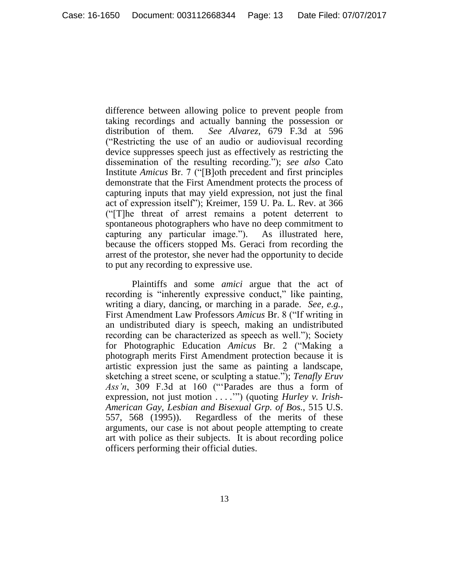difference between allowing police to prevent people from taking recordings and actually banning the possession or distribution of them. *See Alvarez*, 679 F.3d at 596 ("Restricting the use of an audio or audiovisual recording device suppresses speech just as effectively as restricting the dissemination of the resulting recording."); *see also* Cato Institute *Amicus* Br. 7 ("[B]oth precedent and first principles demonstrate that the First Amendment protects the process of capturing inputs that may yield expression, not just the final act of expression itself"); Kreimer, 159 U. Pa. L. Rev. at 366 ("[T]he threat of arrest remains a potent deterrent to spontaneous photographers who have no deep commitment to capturing any particular image."). As illustrated here, because the officers stopped Ms. Geraci from recording the arrest of the protestor, she never had the opportunity to decide to put any recording to expressive use.

Plaintiffs and some *amici* argue that the act of recording is "inherently expressive conduct," like painting, writing a diary, dancing, or marching in a parade. *See, e.g.*, First Amendment Law Professors *Amicus* Br. 8 ("If writing in an undistributed diary is speech, making an undistributed recording can be characterized as speech as well."); Society for Photographic Education *Amicus* Br. 2 ("Making a photograph merits First Amendment protection because it is artistic expression just the same as painting a landscape, sketching a street scene, or sculpting a statue."); *Tenafly Eruv Ass'n*, 309 F.3d at 160 ("'Parades are thus a form of expression, not just motion . . . .'") (quoting *Hurley v. Irish-American Gay, Lesbian and Bisexual Grp. of Bos.*, 515 U.S. 557, 568 (1995)). Regardless of the merits of these arguments, our case is not about people attempting to create art with police as their subjects. It is about recording police officers performing their official duties.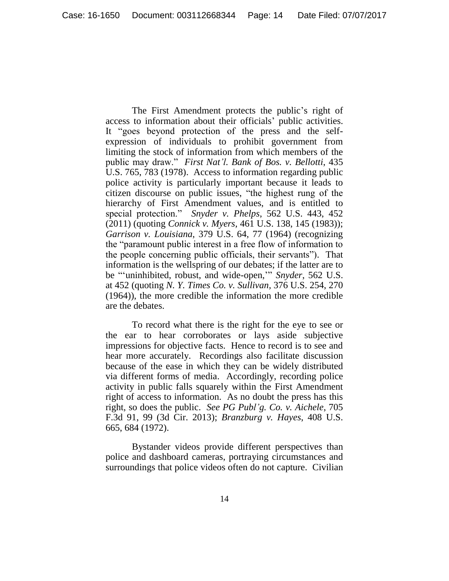The First Amendment protects the public's right of access to information about their officials' public activities. It "goes beyond protection of the press and the selfexpression of individuals to prohibit government from limiting the stock of information from which members of the public may draw." *First Nat'l. Bank of Bos. v. Bellotti*, 435 U.S. 765, 783 (1978). Access to information regarding public police activity is particularly important because it leads to citizen discourse on public issues, "the highest rung of the hierarchy of First Amendment values, and is entitled to special protection." *Snyder v. Phelps*, 562 U.S. 443, 452 (2011) (quoting *Connick v. Myers,* 461 U.S. 138, 145 (1983)); *Garrison v. Louisiana*, 379 U.S. 64, 77 (1964) (recognizing the "paramount public interest in a free flow of information to the people concerning public officials, their servants"). That information is the wellspring of our debates; if the latter are to be "'uninhibited, robust, and wide-open,'" *Snyder*, 562 U.S. at 452 (quoting *N. Y. Times Co. v. Sullivan,* 376 U.S. 254, 270 (1964)), the more credible the information the more credible are the debates.

To record what there is the right for the eye to see or the ear to hear corroborates or lays aside subjective impressions for objective facts. Hence to record is to see and hear more accurately. Recordings also facilitate discussion because of the ease in which they can be widely distributed via different forms of media. Accordingly, recording police activity in public falls squarely within the First Amendment right of access to information. As no doubt the press has this right, so does the public. *See PG Publ'g. Co. v. Aichele*, 705 F.3d 91, 99 (3d Cir. 2013); *Branzburg v. Hayes*, 408 U.S. 665, 684 (1972).

Bystander videos provide different perspectives than police and dashboard cameras, portraying circumstances and surroundings that police videos often do not capture. Civilian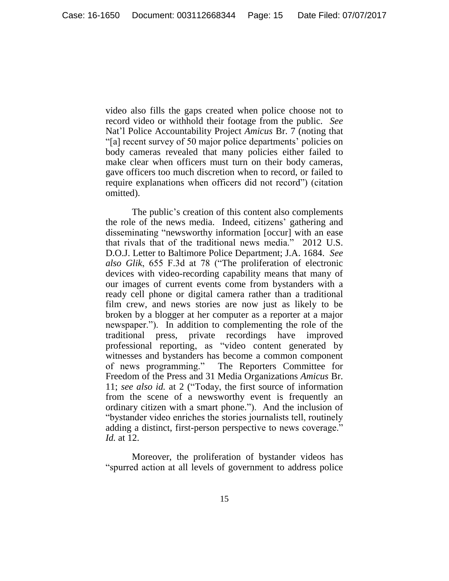video also fills the gaps created when police choose not to record video or withhold their footage from the public. *See* Nat'l Police Accountability Project *Amicus* Br. 7 (noting that "[a] recent survey of 50 major police departments' policies on body cameras revealed that many policies either failed to make clear when officers must turn on their body cameras, gave officers too much discretion when to record, or failed to require explanations when officers did not record") (citation omitted).

The public's creation of this content also complements the role of the news media. Indeed, citizens' gathering and disseminating "newsworthy information [occur] with an ease that rivals that of the traditional news media." 2012 U.S. D.O.J. Letter to Baltimore Police Department; J.A. 1684. *See also Glik*, 655 F.3d at 78 ("The proliferation of electronic devices with video-recording capability means that many of our images of current events come from bystanders with a ready cell phone or digital camera rather than a traditional film crew, and news stories are now just as likely to be broken by a blogger at her computer as a reporter at a major newspaper."). In addition to complementing the role of the traditional press, private recordings have improved professional reporting, as "video content generated by witnesses and bystanders has become a common component of news programming." The Reporters Committee for Freedom of the Press and 31 Media Organizations *Amicus* Br. 11; *see also id.* at 2 ("Today, the first source of information from the scene of a newsworthy event is frequently an ordinary citizen with a smart phone."). And the inclusion of "bystander video enriches the stories journalists tell, routinely adding a distinct, first-person perspective to news coverage." *Id.* at 12.

Moreover, the proliferation of bystander videos has "spurred action at all levels of government to address police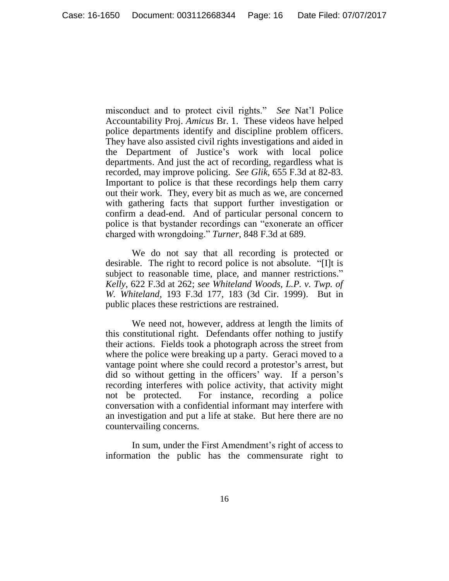misconduct and to protect civil rights." *See* Nat'l Police Accountability Proj. *Amicus* Br. 1. These videos have helped police departments identify and discipline problem officers. They have also assisted civil rights investigations and aided in the Department of Justice's work with local police departments. And just the act of recording, regardless what is recorded, may improve policing. *See Glik*, 655 F.3d at 82-83. Important to police is that these recordings help them carry out their work. They, every bit as much as we, are concerned with gathering facts that support further investigation or confirm a dead-end. And of particular personal concern to police is that bystander recordings can "exonerate an officer charged with wrongdoing." *Turner*, 848 F.3d at 689.

We do not say that all recording is protected or desirable. The right to record police is not absolute. "[I]t is subject to reasonable time, place, and manner restrictions." *Kelly*, 622 F.3d at 262; *see Whiteland Woods, L.P. v. Twp. of W. Whiteland*, 193 F.3d 177, 183 (3d Cir. 1999). But in public places these restrictions are restrained.

We need not, however, address at length the limits of this constitutional right. Defendants offer nothing to justify their actions. Fields took a photograph across the street from where the police were breaking up a party. Geraci moved to a vantage point where she could record a protestor's arrest, but did so without getting in the officers' way. If a person's recording interferes with police activity, that activity might not be protected. For instance, recording a police conversation with a confidential informant may interfere with an investigation and put a life at stake. But here there are no countervailing concerns.

In sum, under the First Amendment's right of access to information the public has the commensurate right to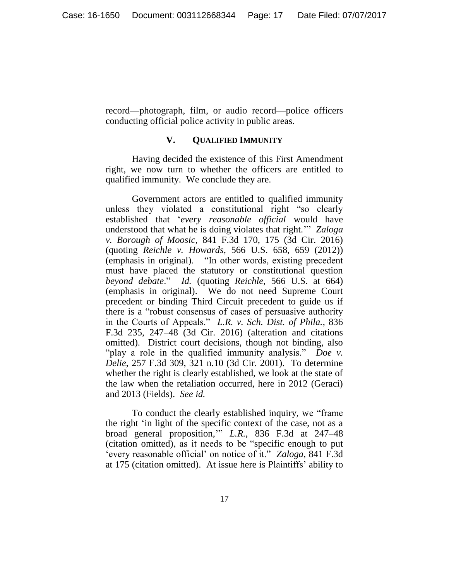record—photograph, film, or audio record—police officers conducting official police activity in public areas.

## **V. QUALIFIED IMMUNITY**

Having decided the existence of this First Amendment right, we now turn to whether the officers are entitled to qualified immunity. We conclude they are.

Government actors are entitled to qualified immunity unless they violated a constitutional right "so clearly established that '*every reasonable official* would have understood that what he is doing violates that right.'" *Zaloga v. Borough of Moosic*, 841 F.3d 170, 175 (3d Cir. 2016) (quoting *Reichle v. Howards*, 566 U.S. 658, 659 (2012)) (emphasis in original). "In other words, existing precedent must have placed the statutory or constitutional question *beyond debate*." *Id.* (quoting *Reichle*, 566 U.S. at 664) (emphasis in original). We do not need Supreme Court precedent or binding Third Circuit precedent to guide us if there is a "robust consensus of cases of persuasive authority in the Courts of Appeals." *L.R. v. Sch. Dist. of Phila.*, 836 F.3d 235, 247–48 (3d Cir. 2016) (alteration and citations omitted). District court decisions, though not binding, also "play a role in the qualified immunity analysis." *Doe v. Delie*, 257 F.3d 309, 321 n.10 (3d Cir. 2001). To determine whether the right is clearly established, we look at the state of the law when the retaliation occurred, here in 2012 (Geraci) and 2013 (Fields). *See id.*

To conduct the clearly established inquiry, we "frame the right 'in light of the specific context of the case, not as a broad general proposition,'" *L.R.*, 836 F.3d at 247–48 (citation omitted), as it needs to be "specific enough to put 'every reasonable official' on notice of it." *Zaloga*, 841 F.3d at 175 (citation omitted). At issue here is Plaintiffs' ability to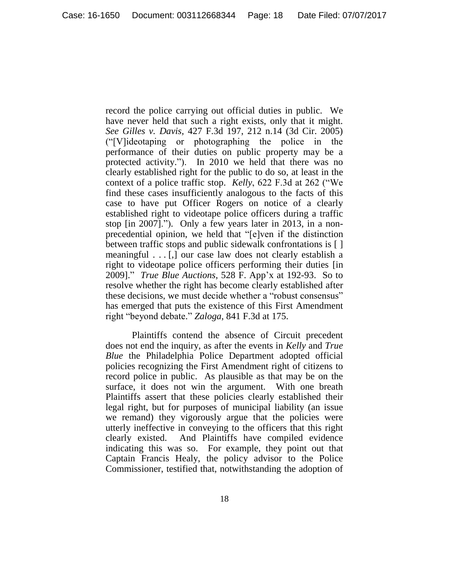record the police carrying out official duties in public. We have never held that such a right exists, only that it might. *See Gilles v. Davis*, 427 F.3d 197, 212 n.14 (3d Cir. 2005) ("[V]ideotaping or photographing the police in the performance of their duties on public property may be a protected activity."). In 2010 we held that there was no clearly established right for the public to do so, at least in the context of a police traffic stop. *Kelly*, 622 F.3d at 262 ("We find these cases insufficiently analogous to the facts of this case to have put Officer Rogers on notice of a clearly established right to videotape police officers during a traffic stop [in 2007]."). Only a few years later in 2013, in a nonprecedential opinion, we held that "[e]ven if the distinction between traffic stops and public sidewalk confrontations is [ ] meaningful . . . [,] our case law does not clearly establish a right to videotape police officers performing their duties [in 2009]." *True Blue Auctions*, 528 F. App'x at 192-93. So to resolve whether the right has become clearly established after these decisions, we must decide whether a "robust consensus" has emerged that puts the existence of this First Amendment right "beyond debate." *Zaloga*, 841 F.3d at 175.

Plaintiffs contend the absence of Circuit precedent does not end the inquiry, as after the events in *Kelly* and *True Blue* the Philadelphia Police Department adopted official policies recognizing the First Amendment right of citizens to record police in public. As plausible as that may be on the surface, it does not win the argument. With one breath Plaintiffs assert that these policies clearly established their legal right, but for purposes of municipal liability (an issue we remand) they vigorously argue that the policies were utterly ineffective in conveying to the officers that this right clearly existed. And Plaintiffs have compiled evidence indicating this was so. For example, they point out that Captain Francis Healy, the policy advisor to the Police Commissioner, testified that, notwithstanding the adoption of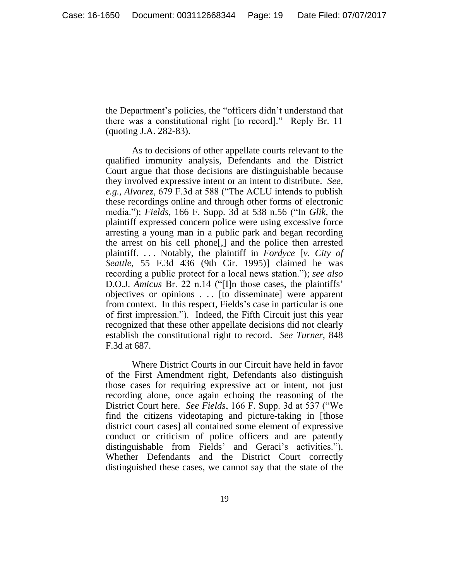the Department's policies, the "officers didn't understand that there was a constitutional right [to record]." Reply Br. 11 (quoting J.A. 282-83).

As to decisions of other appellate courts relevant to the qualified immunity analysis, Defendants and the District Court argue that those decisions are distinguishable because they involved expressive intent or an intent to distribute. *See, e.g.*, *Alvarez*, 679 F.3d at 588 ("The ACLU intends to publish these recordings online and through other forms of electronic media."); *Fields*, 166 F. Supp. 3d at 538 n.56 ("In *Glik*, the plaintiff expressed concern police were using excessive force arresting a young man in a public park and began recording the arrest on his cell phone[,] and the police then arrested plaintiff. . . . Notably, the plaintiff in *Fordyce* [*v. City of Seattle*, 55 F.3d 436 (9th Cir. 1995)] claimed he was recording a public protect for a local news station."); *see also*  D.O.J. *Amicus* Br. 22 n.14 ("[I]n those cases, the plaintiffs' objectives or opinions . . . [to disseminate] were apparent from context. In this respect, Fields's case in particular is one of first impression."). Indeed, the Fifth Circuit just this year recognized that these other appellate decisions did not clearly establish the constitutional right to record. *See Turner*, 848 F.3d at 687.

Where District Courts in our Circuit have held in favor of the First Amendment right, Defendants also distinguish those cases for requiring expressive act or intent, not just recording alone, once again echoing the reasoning of the District Court here. *See Fields*, 166 F. Supp. 3d at 537 ("We find the citizens videotaping and picture-taking in [those district court cases] all contained some element of expressive conduct or criticism of police officers and are patently distinguishable from Fields' and Geraci's activities."). Whether Defendants and the District Court correctly distinguished these cases, we cannot say that the state of the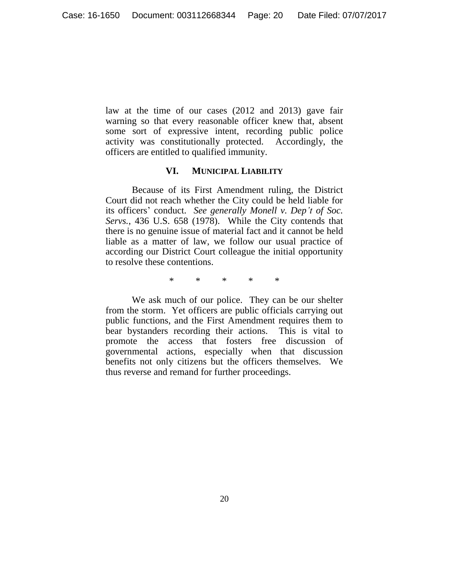law at the time of our cases (2012 and 2013) gave fair warning so that every reasonable officer knew that, absent some sort of expressive intent, recording public police activity was constitutionally protected. Accordingly, the officers are entitled to qualified immunity.

### **VI. MUNICIPAL LIABILITY**

Because of its First Amendment ruling, the District Court did not reach whether the City could be held liable for its officers' conduct. *See generally Monell v. Dep't of Soc. Servs.*, 436 U.S. 658 (1978). While the City contends that there is no genuine issue of material fact and it cannot be held liable as a matter of law, we follow our usual practice of according our District Court colleague the initial opportunity to resolve these contentions.

\* \* \* \* \*

We ask much of our police. They can be our shelter from the storm. Yet officers are public officials carrying out public functions, and the First Amendment requires them to bear bystanders recording their actions. This is vital to promote the access that fosters free discussion of governmental actions, especially when that discussion benefits not only citizens but the officers themselves. We thus reverse and remand for further proceedings.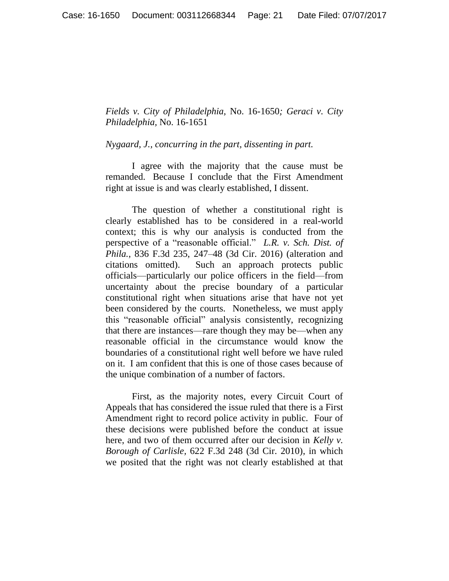*Fields v. City of Philadelphia,* No. 16-1650*; Geraci v. City Philadelphia,* No. 16-1651

*Nygaard, J., concurring in the part, dissenting in part.* 

I agree with the majority that the cause must be remanded. Because I conclude that the First Amendment right at issue is and was clearly established, I dissent.

The question of whether a constitutional right is clearly established has to be considered in a real-world context; this is why our analysis is conducted from the perspective of a "reasonable official." *L.R. v. Sch. Dist. of Phila.*, 836 F.3d 235, 247–48 (3d Cir. 2016) (alteration and citations omitted). Such an approach protects public officials—particularly our police officers in the field—from uncertainty about the precise boundary of a particular constitutional right when situations arise that have not yet been considered by the courts. Nonetheless, we must apply this "reasonable official" analysis consistently, recognizing that there are instances—rare though they may be—when any reasonable official in the circumstance would know the boundaries of a constitutional right well before we have ruled on it. I am confident that this is one of those cases because of the unique combination of a number of factors.

First, as the majority notes, every Circuit Court of Appeals that has considered the issue ruled that there is a First Amendment right to record police activity in public. Four of these decisions were published before the conduct at issue here, and two of them occurred after our decision in *Kelly v. Borough of Carlisle,* 622 F.3d 248 (3d Cir. 2010), in which we posited that the right was not clearly established at that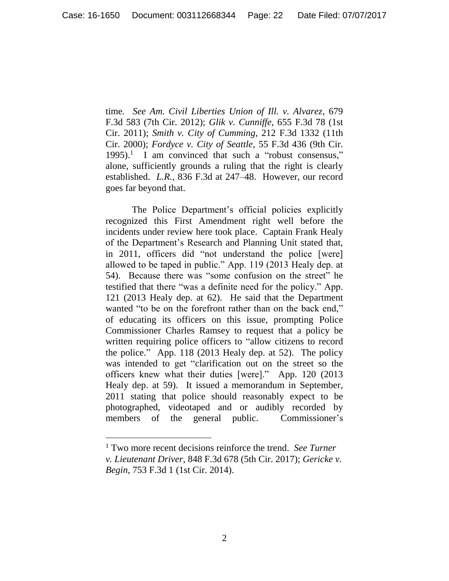time*. See Am. Civil Liberties Union of Ill. v. Alvarez*, 679 F.3d 583 (7th Cir. 2012); *Glik v. Cunniffe,* 655 F.3d 78 (1st Cir. 2011); *Smith v. City of Cumming*, 212 F.3d 1332 (11th Cir. 2000); *Fordyce v. City of Seattle*, 55 F.3d 436 (9th Cir.  $1995$ .<sup>1</sup> I am convinced that such a "robust consensus," alone, sufficiently grounds a ruling that the right is clearly established. *L.R.*, 836 F.3d at 247–48. However, our record goes far beyond that.

The Police Department's official policies explicitly recognized this First Amendment right well before the incidents under review here took place. Captain Frank Healy of the Department's Research and Planning Unit stated that, in 2011, officers did "not understand the police [were] allowed to be taped in public." App. 119 (2013 Healy dep. at 54). Because there was "some confusion on the street" he testified that there "was a definite need for the policy." App. 121 (2013 Healy dep. at 62). He said that the Department wanted "to be on the forefront rather than on the back end." of educating its officers on this issue, prompting Police Commissioner Charles Ramsey to request that a policy be written requiring police officers to "allow citizens to record the police." App. 118 (2013 Healy dep. at 52). The policy was intended to get "clarification out on the street so the officers knew what their duties [were]." App. 120 (2013 Healy dep. at 59). It issued a memorandum in September, 2011 stating that police should reasonably expect to be photographed, videotaped and or audibly recorded by members of the general public. Commissioner's

 $\overline{a}$ 

<sup>1</sup> Two more recent decisions reinforce the trend. *See Turner v. Lieutenant Driver*, 848 F.3d 678 (5th Cir. 2017); *Gericke v. Begin*, 753 F.3d 1 (1st Cir. 2014).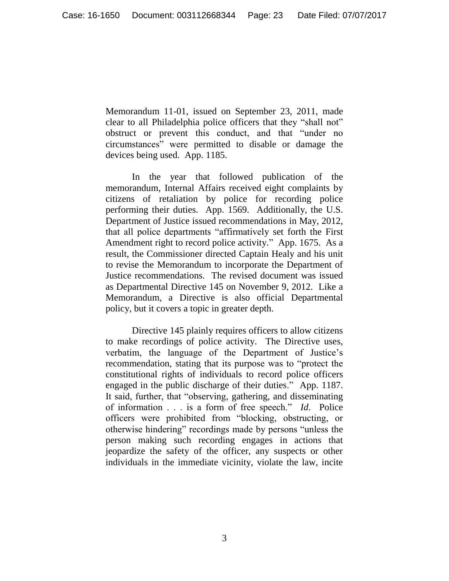Memorandum 11-01, issued on September 23, 2011, made clear to all Philadelphia police officers that they "shall not" obstruct or prevent this conduct, and that "under no circumstances" were permitted to disable or damage the devices being used. App. 1185.

In the year that followed publication of the memorandum, Internal Affairs received eight complaints by citizens of retaliation by police for recording police performing their duties. App. 1569. Additionally, the U.S. Department of Justice issued recommendations in May, 2012, that all police departments "affirmatively set forth the First Amendment right to record police activity." App. 1675. As a result, the Commissioner directed Captain Healy and his unit to revise the Memorandum to incorporate the Department of Justice recommendations. The revised document was issued as Departmental Directive 145 on November 9, 2012. Like a Memorandum, a Directive is also official Departmental policy, but it covers a topic in greater depth.

Directive 145 plainly requires officers to allow citizens to make recordings of police activity. The Directive uses, verbatim, the language of the Department of Justice's recommendation, stating that its purpose was to "protect the constitutional rights of individuals to record police officers engaged in the public discharge of their duties." App. 1187. It said, further, that "observing, gathering, and disseminating of information . . . is a form of free speech." *Id*. Police officers were prohibited from "blocking, obstructing, or otherwise hindering" recordings made by persons "unless the person making such recording engages in actions that jeopardize the safety of the officer, any suspects or other individuals in the immediate vicinity, violate the law, incite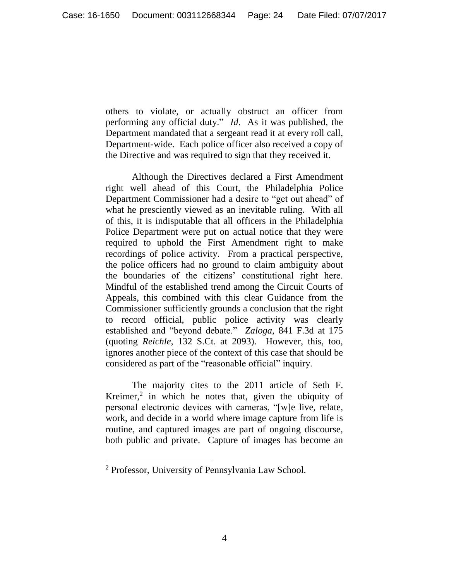others to violate, or actually obstruct an officer from performing any official duty." *Id*. As it was published, the Department mandated that a sergeant read it at every roll call, Department-wide. Each police officer also received a copy of the Directive and was required to sign that they received it.

Although the Directives declared a First Amendment right well ahead of this Court, the Philadelphia Police Department Commissioner had a desire to "get out ahead" of what he presciently viewed as an inevitable ruling. With all of this, it is indisputable that all officers in the Philadelphia Police Department were put on actual notice that they were required to uphold the First Amendment right to make recordings of police activity. From a practical perspective, the police officers had no ground to claim ambiguity about the boundaries of the citizens' constitutional right here. Mindful of the established trend among the Circuit Courts of Appeals, this combined with this clear Guidance from the Commissioner sufficiently grounds a conclusion that the right to record official, public police activity was clearly established and "beyond debate." *Zaloga*, 841 F.3d at 175 (quoting *Reichle*, 132 S.Ct. at 2093). However, this, too, ignores another piece of the context of this case that should be considered as part of the "reasonable official" inquiry.

The majority cites to the 2011 article of Seth F. Kreimer, $2$  in which he notes that, given the ubiquity of personal electronic devices with cameras, "[w]e live, relate, work, and decide in a world where image capture from life is routine, and captured images are part of ongoing discourse, both public and private. Capture of images has become an

 $\overline{a}$ 

<sup>2</sup> Professor, University of Pennsylvania Law School.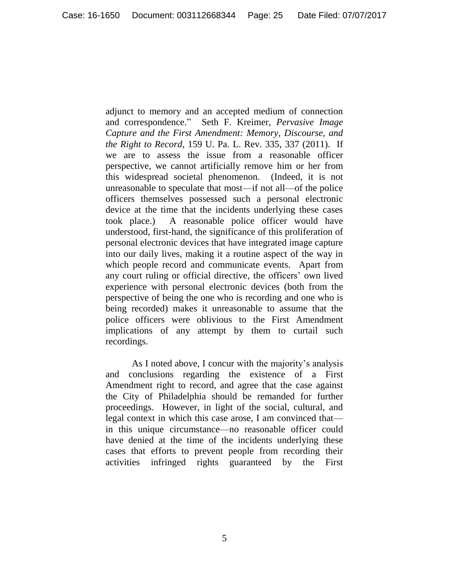adjunct to memory and an accepted medium of connection and correspondence." Seth F. Kreimer, *Pervasive Image Capture and the First Amendment: Memory, Discourse, and the Right to Record*, 159 U. Pa. L. Rev. 335, 337 (2011). If we are to assess the issue from a reasonable officer perspective, we cannot artificially remove him or her from this widespread societal phenomenon. (Indeed, it is not unreasonable to speculate that most—if not all—of the police officers themselves possessed such a personal electronic device at the time that the incidents underlying these cases took place.) A reasonable police officer would have understood, first-hand, the significance of this proliferation of personal electronic devices that have integrated image capture into our daily lives, making it a routine aspect of the way in which people record and communicate events. Apart from any court ruling or official directive, the officers' own lived experience with personal electronic devices (both from the perspective of being the one who is recording and one who is being recorded) makes it unreasonable to assume that the police officers were oblivious to the First Amendment implications of any attempt by them to curtail such recordings.

As I noted above, I concur with the majority's analysis and conclusions regarding the existence of a First Amendment right to record, and agree that the case against the City of Philadelphia should be remanded for further proceedings. However, in light of the social, cultural, and legal context in which this case arose, I am convinced that in this unique circumstance—no reasonable officer could have denied at the time of the incidents underlying these cases that efforts to prevent people from recording their activities infringed rights guaranteed by the First